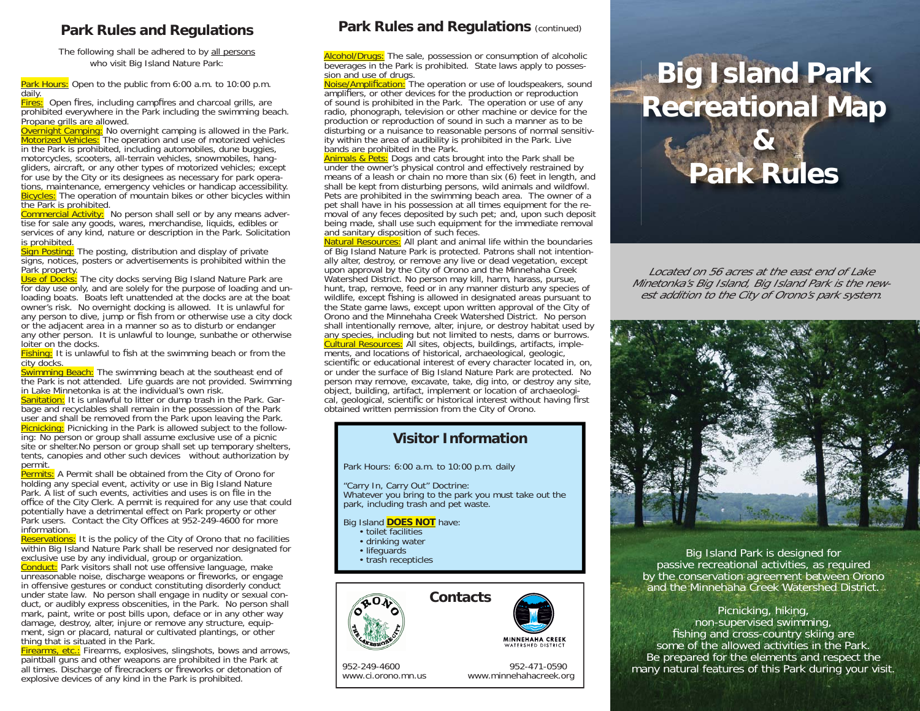## **Park Rules and Regulations**

The following shall be adhered to by all persons who visit Big Island Nature Park:

Park Hours: Open to the public from 6:00 a.m. to 10:00 p.m. daily.

**Fires:** Open fires, including campfires and charcoal grills, are prohibited everywhere in the Park including the swimming beach. Propane grills are allowed.

**Overnight Camping:** No overnight camping is allowed in the Park. Motorized Vehicles: The operation and use of motorized vehicles in the Park is prohibited, including automobiles, dune buggies, motorcycles, scooters, all-terrain vehicles, snowmobiles, hanggliders, aircraft, or any other types of motorized vehicles; except for use by the City or its designees as necessary for park operations, maintenance, emergency vehicles or handicap accessibility. Bicycles: The operation of mountain bikes or other bicycles within the Park is prohibited.

Commercial Activity: No person shall sell or by any means advertise for sale any goods, wares, merchandise, liquids, edibles or services of any kind, nature or description in the Park. Solicitation is prohibited.

Sign Posting: The posting, distribution and display of private signs, notices, posters or advertisements is prohibited within the

Park property.<br><mark>Use of Docks:</mark> The city docks serving Big Island Nature Park are for day use only, and are solely for the purpose of loading and unloading boats. Boats left unattended at the docks are at the boat owner's risk. No overnight docking is allowed. It is unlawful for any person to dive, jump or fish from or otherwise use a city dock or the adjacent area in a manner so as to disturb or endanger any other person. It is unlawful to lounge, sunbathe or otherwise loiter on the docks.

Fishing: It is unlawful to fish at the swimming beach or from the city docks.

Swimming Beach: The swimming beach at the southeast end of the Park is not attended. Life guards are not provided. Swimming in Lake Minnetonka is at the individual's own risk.

Sanitation: It is unlawful to litter or dump trash in the Park. Garbage and recyclables shall remain in the possession of the Park user and shall be removed from the Park upon leaving the Park. Picnicking: Picnicking in the Park is allowed subject to the following: No person or group shall assume exclusive use of a picnic site or shelter. No person or group shall set up temporary shelters, tents, canopies and other such devices without authorization by permit.

Permits: A Permit shall be obtained from the City of Orono for holding any special event, activity or use in Big Island Nature Park. A list of such events, activities and uses is on file in the office of the City Clerk. A permit is required for any use that could potentially have a detrimental effect on Park property or other Park users. Contact the City Offices at 952-249-4600 for more information.

Reservations: It is the policy of the City of Orono that no facilities within Big Island Nature Park shall be reserved nor designated for exclusive use by any individual, group or organization.

Conduct: Park visitors shall not use offensive language, make unreasonable noise, discharge weapons or fireworks, or engage in offensive gestures or conduct constituting disorderly conduct under state law. No person shall engage in nudity or sexual conduct, or audibly express obscenities, in the Park. No person shall mark, paint, write or post bills upon, deface or in any other way damage, destroy, alter, injure or remove any structure, equipment, sign or placard, natural or cultivated plantings, or other thing that is situated in the Park.

Firearms, etc.: Firearms, explosives, slingshots, bows and arrows, paintball guns and other weapons are prohibited in the Park at all times. Discharge of firecrackers or fireworks or detonation of explosive devices of any kind in the Park is prohibited.

## **Park Rules and Regulations (continued)**

Alcohol/Drugs: The sale, possession or consumption of alcoholic beverages in the Park is prohibited. State laws apply to posses-

sion and use of drugs.<br><mark>Noise/Amplification:</mark> The operation or use of loudspeakers, sound amplifiers, or other devices for the production or reproduction of sound is prohibited in the Park. The operation or use of any radio, phonograph, television or other machine or device for the production or reproduction of sound in such a manner as to be disturbing or a nuisance to reasonable persons of normal sensitivity within the area of audibility is prohibited in the Park. Live bands are prohibited in the Park.

Animals & Pets: Dogs and cats brought into the Park shall be under the owner's physical control and effectively restrained by means of a leash or chain no more than six (6) feet in length, and shall be kept from disturbing persons, wild animals and wildfowl. Pets are prohibited in the swimming beach area. The owner of a pet shall have in his possession at all times equipment for the removal of any feces deposited by such pet; and, upon such deposit being made, shall use such equipment for the immediate removal and sanitary disposition of such feces.

Natural Resources:</u> All plant and animal life within the boundaries of Big Island Nature Park is protected. Patrons shall not intentionally alter, destroy, or remove any live or dead vegetation, except upon approval by the City of Orono and the Minnehaha Creek Watershed District. No person may kill, harm, harass, pursue, hunt, trap, remove, feed or in any manner disturb any species of wildlife, except fishing is allowed in designated areas pursuant to the State game laws, except upon written approval of the City of Orono and the Minnehaha Creek Watershed District. No person shall intentionally remove, alter, injure, or destroy habitat used by any species, including but not limited to nests, dams or burrows. Cultural Resources: All sites, objects, buildings, artifacts, implements, and locations of historical, archaeological, geologic, scientific or educational interest of every character located in, on, or under the surface of Big Island Nature Park are protected. No person may remove, excavate, take, dig into, or destroy any site, object, building, artifact, implement or location of archaeological, geological, scientific or historical interest without having first obtained written permission from the City of Orono.

## **Visitor Information**

Park Hours: 6:00 a.m. to 10:00 p.m. daily

"Carry In, Carry Out" Doctrine: Whatever you bring to the park you must take out the park, including trash and pet waste.

#### Big Island **DOES NOT** have:

- toilet facilities
- drinking water
- lifeguards
- trash recepticles



www.ci.orono.mn.us www.minnehahacreek.org

952-249-4600 952-471-0590

# **Big Island Park Recreational Map**



Located on 56 acres at the east end of Lake Minetonka's Big Island, Big Island Park is the newest addition to the City of Orono's park system.



Big Island Park is designed for passive recreational activities, as required by the conservation agreement between Orono and the Minnehaha Creek Watershed District.

### Picnicking, hiking, non-supervised swimming, fishing and cross-country skiing are some of the allowed activities in the Park. Be prepared for the elements and respect the many natural features of this Park during your visit.